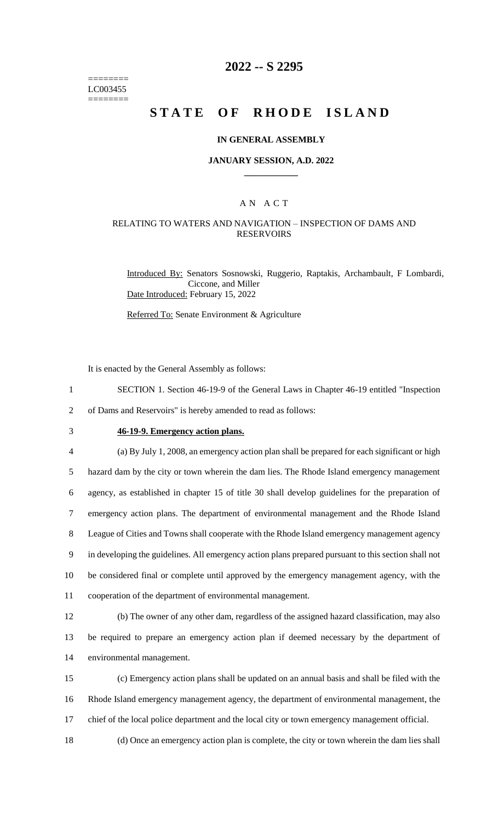======== LC003455 ========

# **2022 -- S 2295**

# **STATE OF RHODE ISLAND**

### **IN GENERAL ASSEMBLY**

### **JANUARY SESSION, A.D. 2022 \_\_\_\_\_\_\_\_\_\_\_\_**

## A N A C T

### RELATING TO WATERS AND NAVIGATION – INSPECTION OF DAMS AND **RESERVOIRS**

Introduced By: Senators Sosnowski, Ruggerio, Raptakis, Archambault, F Lombardi, Ciccone, and Miller Date Introduced: February 15, 2022

Referred To: Senate Environment & Agriculture

It is enacted by the General Assembly as follows:

1 SECTION 1. Section 46-19-9 of the General Laws in Chapter 46-19 entitled "Inspection

2 of Dams and Reservoirs" is hereby amended to read as follows:

# 3 **46-19-9. Emergency action plans.**

 (a) By July 1, 2008, an emergency action plan shall be prepared for each significant or high hazard dam by the city or town wherein the dam lies. The Rhode Island emergency management agency, as established in chapter 15 of title 30 shall develop guidelines for the preparation of emergency action plans. The department of environmental management and the Rhode Island League of Cities and Towns shall cooperate with the Rhode Island emergency management agency in developing the guidelines. All emergency action plans prepared pursuant to this section shall not be considered final or complete until approved by the emergency management agency, with the cooperation of the department of environmental management.

12 (b) The owner of any other dam, regardless of the assigned hazard classification, may also 13 be required to prepare an emergency action plan if deemed necessary by the department of 14 environmental management.

15 (c) Emergency action plans shall be updated on an annual basis and shall be filed with the 16 Rhode Island emergency management agency, the department of environmental management, the 17 chief of the local police department and the local city or town emergency management official.

18 (d) Once an emergency action plan is complete, the city or town wherein the dam lies shall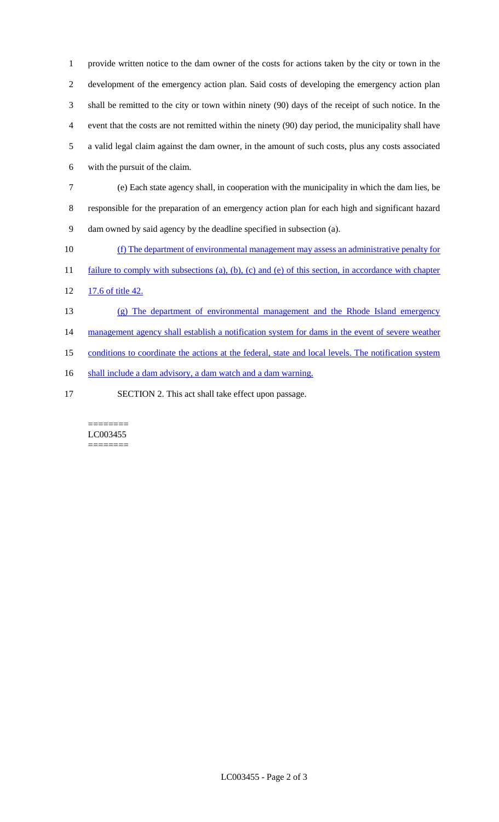provide written notice to the dam owner of the costs for actions taken by the city or town in the development of the emergency action plan. Said costs of developing the emergency action plan shall be remitted to the city or town within ninety (90) days of the receipt of such notice. In the event that the costs are not remitted within the ninety (90) day period, the municipality shall have a valid legal claim against the dam owner, in the amount of such costs, plus any costs associated with the pursuit of the claim.

7 (e) Each state agency shall, in cooperation with the municipality in which the dam lies, be 8 responsible for the preparation of an emergency action plan for each high and significant hazard 9 dam owned by said agency by the deadline specified in subsection (a).

10 (f) The department of environmental management may assess an administrative penalty for

11 failure to comply with subsections (a), (b), (c) and (e) of this section, in accordance with chapter

12 17.6 of title 42.

13 (g) The department of environmental management and the Rhode Island emergency 14 management agency shall establish a notification system for dams in the event of severe weather

15 conditions to coordinate the actions at the federal, state and local levels. The notification system

16 shall include a dam advisory, a dam watch and a dam warning.

17 SECTION 2. This act shall take effect upon passage.

======== LC003455 ========